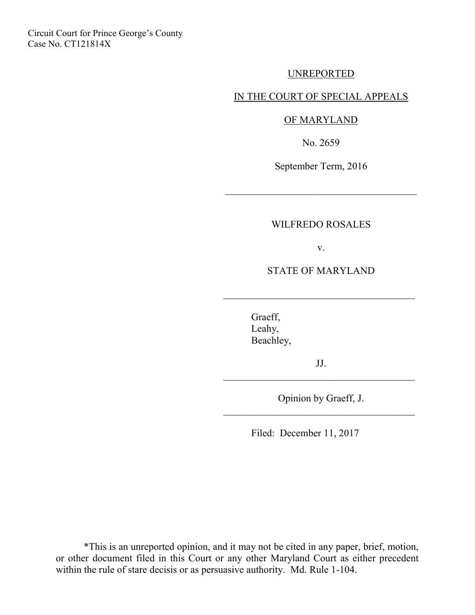Circuit Court for Prince George's County Case No. CT121814X

### UNREPORTED

#### IN THE COURT OF SPECIAL APPEALS

#### OF MARYLAND

No. 2659

September Term, 2016

\_\_\_\_\_\_\_\_\_\_\_\_\_\_\_\_\_\_\_\_\_\_\_\_\_\_\_\_\_\_\_\_\_\_\_\_\_\_

#### WILFREDO ROSALES

v.

STATE OF MARYLAND

 $\mathcal{L}_\text{max}$  , where  $\mathcal{L}_\text{max}$  , we are the set of  $\mathcal{L}_\text{max}$ 

 Graeff, Leahy, Beachley,

JJ.  $\mathcal{L}_\text{max}$  , where  $\mathcal{L}_\text{max}$  , we are the set of  $\mathcal{L}_\text{max}$ 

Opinion by Graeff, J. \_\_\_\_\_\_\_\_\_\_\_\_\_\_\_\_\_\_\_\_\_\_\_\_\_\_\_\_\_\_\_\_\_\_\_\_\_\_

Filed: December 11, 2017

\*This is an unreported opinion, and it may not be cited in any paper, brief, motion, or other document filed in this Court or any other Maryland Court as either precedent within the rule of stare decisis or as persuasive authority. Md. Rule 1-104.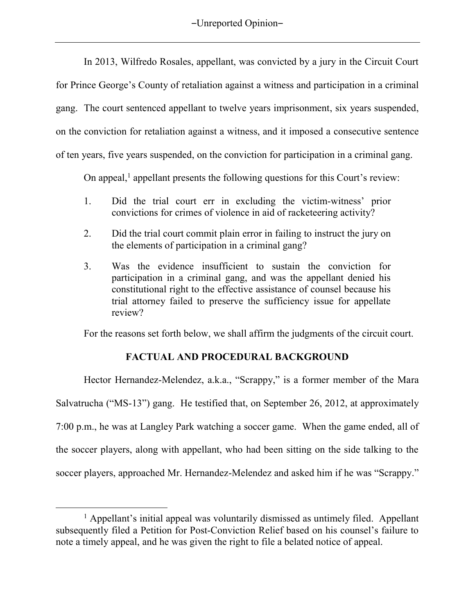-Unreported Opinion-

In 2013, Wilfredo Rosales, appellant, was convicted by a jury in the Circuit Court for Prince George's County of retaliation against a witness and participation in a criminal gang. The court sentenced appellant to twelve years imprisonment, six years suspended, on the conviction for retaliation against a witness, and it imposed a consecutive sentence of ten years, five years suspended, on the conviction for participation in a criminal gang.

On appeal,<sup>1</sup> appellant presents the following questions for this Court's review:

- 1. Did the trial court err in excluding the victim-witness' prior convictions for crimes of violence in aid of racketeering activity?
- 2. Did the trial court commit plain error in failing to instruct the jury on the elements of participation in a criminal gang?
- 3. Was the evidence insufficient to sustain the conviction for participation in a criminal gang, and was the appellant denied his constitutional right to the effective assistance of counsel because his trial attorney failed to preserve the sufficiency issue for appellate review?

For the reasons set forth below, we shall affirm the judgments of the circuit court.

## **FACTUAL AND PROCEDURAL BACKGROUND**

Hector Hernandez-Melendez, a.k.a., "Scrappy," is a former member of the Mara Salvatrucha ("MS-13") gang. He testified that, on September 26, 2012, at approximately 7:00 p.m., he was at Langley Park watching a soccer game. When the game ended, all of the soccer players, along with appellant, who had been sitting on the side talking to the soccer players, approached Mr. Hernandez-Melendez and asked him if he was "Scrappy."

 $\overline{a}$ 

<sup>&</sup>lt;sup>1</sup> Appellant's initial appeal was voluntarily dismissed as untimely filed. Appellant subsequently filed a Petition for Post-Conviction Relief based on his counsel's failure to note a timely appeal, and he was given the right to file a belated notice of appeal.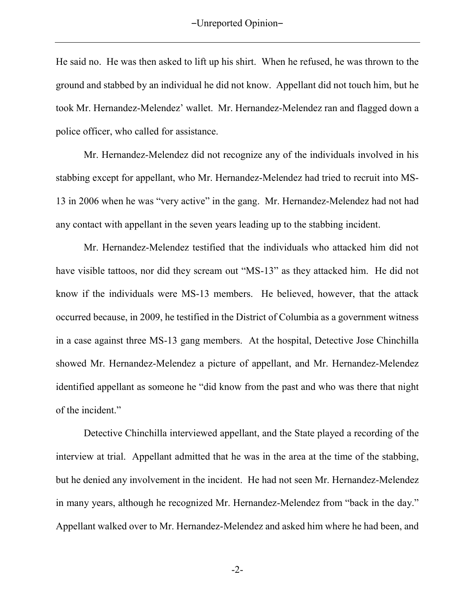He said no. He was then asked to lift up his shirt. When he refused, he was thrown to the ground and stabbed by an individual he did not know. Appellant did not touch him, but he took Mr. Hernandez-Melendez' wallet. Mr. Hernandez-Melendez ran and flagged down a police officer, who called for assistance.

Mr. Hernandez-Melendez did not recognize any of the individuals involved in his stabbing except for appellant, who Mr. Hernandez-Melendez had tried to recruit into MS-13 in 2006 when he was "very active" in the gang. Mr. Hernandez-Melendez had not had any contact with appellant in the seven years leading up to the stabbing incident.

Mr. Hernandez-Melendez testified that the individuals who attacked him did not have visible tattoos, nor did they scream out "MS-13" as they attacked him. He did not know if the individuals were MS-13 members. He believed, however, that the attack occurred because, in 2009, he testified in the District of Columbia as a government witness in a case against three MS-13 gang members. At the hospital, Detective Jose Chinchilla showed Mr. Hernandez-Melendez a picture of appellant, and Mr. Hernandez-Melendez identified appellant as someone he "did know from the past and who was there that night of the incident."

Detective Chinchilla interviewed appellant, and the State played a recording of the interview at trial.Appellant admitted that he was in the area at the time of the stabbing, but he denied any involvement in the incident. He had not seen Mr. Hernandez-Melendez in many years, although he recognized Mr. Hernandez-Melendez from "back in the day." Appellant walked over to Mr. Hernandez-Melendez and asked him where he had been, and

-2-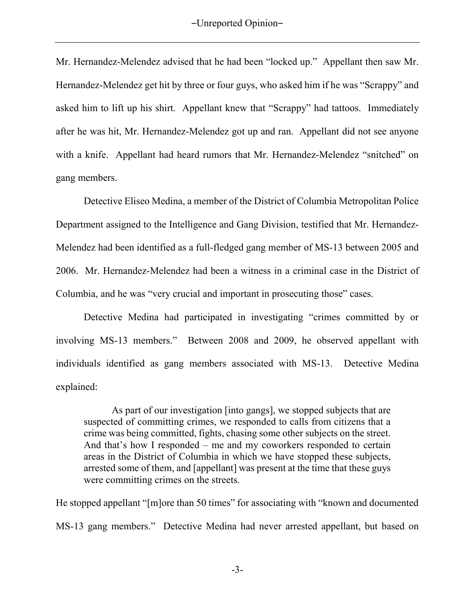Mr. Hernandez-Melendez advised that he had been "locked up." Appellant then saw Mr. Hernandez-Melendez get hit by three or four guys, who asked him if he was "Scrappy" and asked him to lift up his shirt. Appellant knew that "Scrappy" had tattoos. Immediately after he was hit, Mr. Hernandez-Melendez got up and ran. Appellant did not see anyone with a knife. Appellant had heard rumors that Mr. Hernandez-Melendez "snitched" on gang members.

Detective Eliseo Medina, a member of the District of Columbia Metropolitan Police Department assigned to the Intelligence and Gang Division, testified that Mr. Hernandez-Melendez had been identified as a full-fledged gang member of MS-13 between 2005 and 2006. Mr. Hernandez-Melendez had been a witness in a criminal case in the District of Columbia, and he was "very crucial and important in prosecuting those" cases.

Detective Medina had participated in investigating "crimes committed by or involving MS-13 members." Between 2008 and 2009, he observed appellant with individuals identified as gang members associated with MS-13. Detective Medina explained:

As part of our investigation [into gangs], we stopped subjects that are suspected of committing crimes, we responded to calls from citizens that a crime was being committed, fights, chasing some other subjects on the street. And that's how I responded – me and my coworkers responded to certain areas in the District of Columbia in which we have stopped these subjects, arrested some of them, and [appellant] was present at the time that these guys were committing crimes on the streets.

He stopped appellant "[m]ore than 50 times" for associating with "known and documented MS-13 gang members." Detective Medina had never arrested appellant, but based on

-3-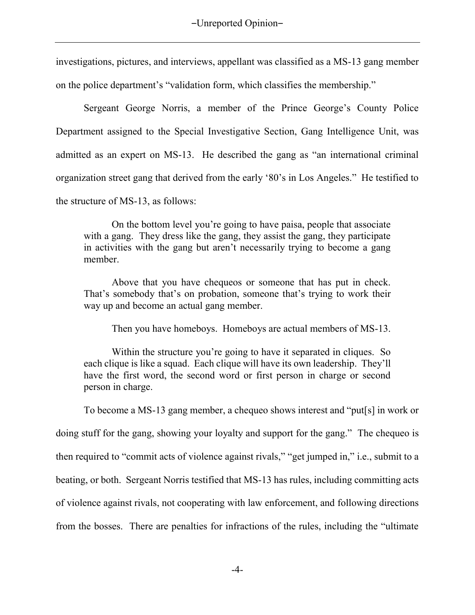investigations, pictures, and interviews, appellant was classified as a MS-13 gang member on the police department's "validation form, which classifies the membership."

Sergeant George Norris, a member of the Prince George's County Police Department assigned to the Special Investigative Section, Gang Intelligence Unit, was admitted as an expert on MS-13. He described the gang as "an international criminal organization street gang that derived from the early '80's in Los Angeles." He testified to the structure of MS-13, as follows:

On the bottom level you're going to have paisa, people that associate with a gang. They dress like the gang, they assist the gang, they participate in activities with the gang but aren't necessarily trying to become a gang member.

Above that you have chequeos or someone that has put in check. That's somebody that's on probation, someone that's trying to work their way up and become an actual gang member.

Then you have homeboys. Homeboys are actual members of MS-13.

Within the structure you're going to have it separated in cliques. So each clique is like a squad. Each clique will have its own leadership. They'll have the first word, the second word or first person in charge or second person in charge.

To become a MS-13 gang member, a chequeo shows interest and "put[s] in work or doing stuff for the gang, showing your loyalty and support for the gang."The chequeo is then required to "commit acts of violence against rivals," "get jumped in," i.e., submit to a beating, or both.Sergeant Norris testified that MS-13 has rules, including committing acts of violence against rivals, not cooperating with law enforcement, and following directions from the bosses. There are penalties for infractions of the rules, including the "ultimate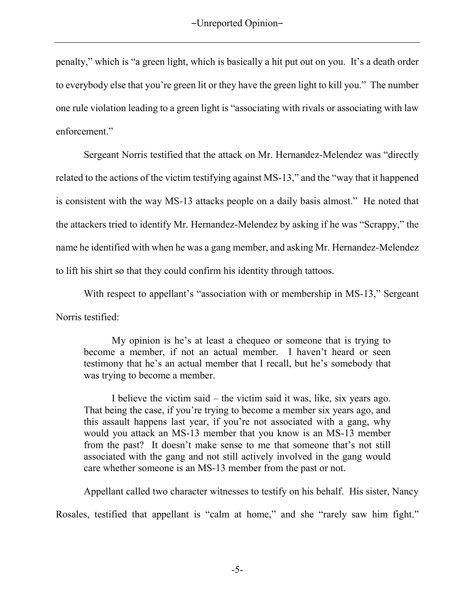penalty," which is "a green light, which is basically a hit put out on you. It's a death order to everybody else that you're green lit or they have the green light to kill you." The number one rule violation leading to a green light is "associating with rivals or associating with law enforcement."

 Sergeant Norris testified that the attack on Mr. Hernandez-Melendez was "directly related to the actions of the victim testifying against MS-13," and the "way that it happened is consistent with the way MS-13 attacks people on a daily basis almost." He noted that the attackers tried to identify Mr. Hernandez-Melendez by asking if he was "Scrappy," the name he identified with when he was a gang member, and asking Mr. Hernandez-Melendez to lift his shirt so that they could confirm his identity through tattoos.

With respect to appellant's "association with or membership in MS-13," Sergeant Norris testified:

My opinion is he's at least a chequeo or someone that is trying to become a member, if not an actual member. I haven't heard or seen testimony that he's an actual member that I recall, but he's somebody that was trying to become a member.

 I believe the victim said – the victim said it was, like, six years ago. That being the case, if you're trying to become a member six years ago, and this assault happens last year, if you're not associated with a gang, why would you attack an MS-13 member that you know is an MS-13 member from the past? It doesn't make sense to me that someone that's not still associated with the gang and not still actively involved in the gang would care whether someone is an MS-13 member from the past or not.

Appellant called two character witnesses to testify on his behalf. His sister, Nancy Rosales, testified that appellant is "calm at home," and she "rarely saw him fight."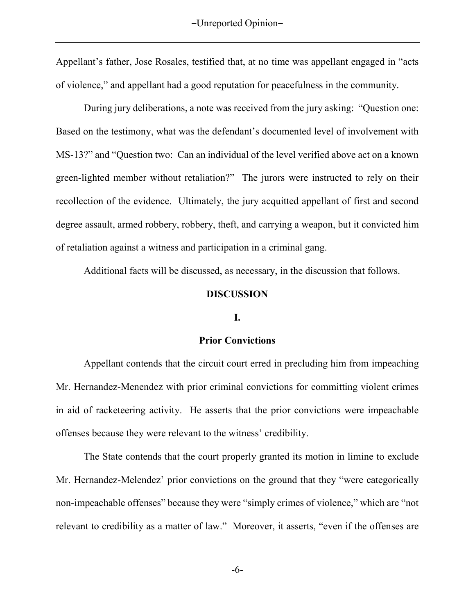Appellant's father, Jose Rosales, testified that, at no time was appellant engaged in "acts of violence," and appellant had a good reputation for peacefulness in the community.

 During jury deliberations, a note was received from the jury asking: "Question one: Based on the testimony, what was the defendant's documented level of involvement with MS-13?" and "Question two: Can an individual of the level verified above act on a known green-lighted member without retaliation?" The jurors were instructed to rely on their recollection of the evidence. Ultimately, the jury acquitted appellant of first and second degree assault, armed robbery, robbery, theft, and carrying a weapon, but it convicted him of retaliation against a witness and participation in a criminal gang.

Additional facts will be discussed, as necessary, in the discussion that follows.

#### **DISCUSSION**

#### **I.**

#### **Prior Convictions**

Appellant contends that the circuit court erred in precluding him from impeaching Mr. Hernandez-Menendez with prior criminal convictions for committing violent crimes in aid of racketeering activity. He asserts that the prior convictions were impeachable offenses because they were relevant to the witness' credibility.

The State contends that the court properly granted its motion in limine to exclude Mr. Hernandez-Melendez' prior convictions on the ground that they "were categorically non-impeachable offenses" because they were "simply crimes of violence," which are "not relevant to credibility as a matter of law." Moreover, it asserts, "even if the offenses are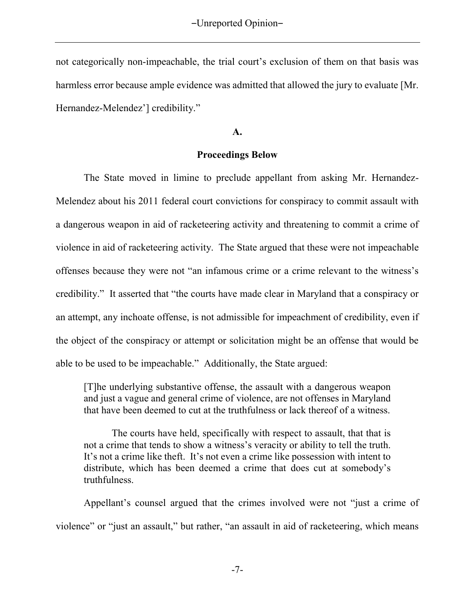not categorically non-impeachable, the trial court's exclusion of them on that basis was harmless error because ample evidence was admitted that allowed the jury to evaluate [Mr. Hernandez-Melendez'] credibility."

**A.** 

### **Proceedings Below**

The State moved in limine to preclude appellant from asking Mr. Hernandez-Melendez about his 2011 federal court convictions for conspiracy to commit assault with a dangerous weapon in aid of racketeering activity and threatening to commit a crime of violence in aid of racketeering activity. The State argued that these were not impeachable offenses because they were not "an infamous crime or a crime relevant to the witness's credibility." It asserted that "the courts have made clear in Maryland that a conspiracy or an attempt, any inchoate offense, is not admissible for impeachment of credibility, even if the object of the conspiracy or attempt or solicitation might be an offense that would be able to be used to be impeachable." Additionally, the State argued:

[T]he underlying substantive offense, the assault with a dangerous weapon and just a vague and general crime of violence, are not offenses in Maryland that have been deemed to cut at the truthfulness or lack thereof of a witness.

 The courts have held, specifically with respect to assault, that that is not a crime that tends to show a witness's veracity or ability to tell the truth. It's not a crime like theft. It's not even a crime like possession with intent to distribute, which has been deemed a crime that does cut at somebody's truthfulness.

Appellant's counsel argued that the crimes involved were not "just a crime of violence" or "just an assault," but rather, "an assault in aid of racketeering, which means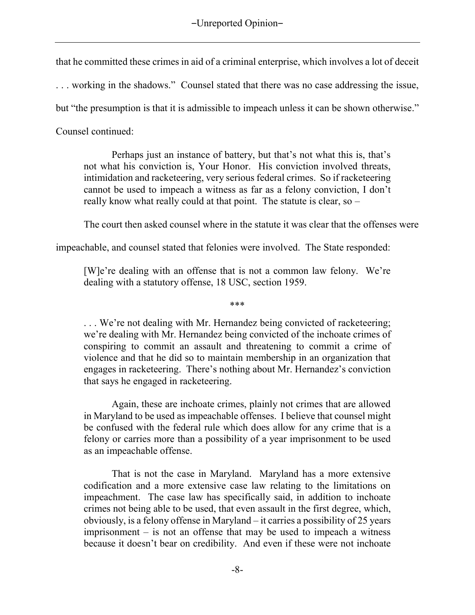that he committed these crimes in aid of a criminal enterprise, which involves a lot of deceit

. . . working in the shadows." Counsel stated that there was no case addressing the issue,

but "the presumption is that it is admissible to impeach unless it can be shown otherwise."

Counsel continued:

 Perhaps just an instance of battery, but that's not what this is, that's not what his conviction is, Your Honor. His conviction involved threats, intimidation and racketeering, very serious federal crimes. So if racketeering cannot be used to impeach a witness as far as a felony conviction, I don't really know what really could at that point. The statute is clear, so –

The court then asked counsel where in the statute it was clear that the offenses were

impeachable, and counsel stated that felonies were involved.The State responded:

[W]e're dealing with an offense that is not a common law felony. We're dealing with a statutory offense, 18 USC, section 1959.

\*\*\*

... We're not dealing with Mr. Hernandez being convicted of racketeering; we're dealing with Mr. Hernandez being convicted of the inchoate crimes of conspiring to commit an assault and threatening to commit a crime of violence and that he did so to maintain membership in an organization that engages in racketeering. There's nothing about Mr. Hernandez's conviction that says he engaged in racketeering.

 Again, these are inchoate crimes, plainly not crimes that are allowed in Maryland to be used as impeachable offenses. I believe that counsel might be confused with the federal rule which does allow for any crime that is a felony or carries more than a possibility of a year imprisonment to be used as an impeachable offense.

 That is not the case in Maryland. Maryland has a more extensive codification and a more extensive case law relating to the limitations on impeachment. The case law has specifically said, in addition to inchoate crimes not being able to be used, that even assault in the first degree, which, obviously, is a felony offense in Maryland – it carries a possibility of 25 years imprisonment – is not an offense that may be used to impeach a witness because it doesn't bear on credibility. And even if these were not inchoate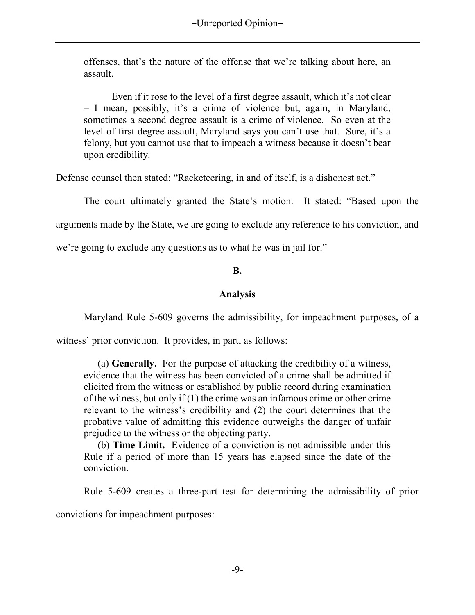offenses, that's the nature of the offense that we're talking about here, an assault.

 Even if it rose to the level of a first degree assault, which it's not clear – I mean, possibly, it's a crime of violence but, again, in Maryland, sometimes a second degree assault is a crime of violence. So even at the level of first degree assault, Maryland says you can't use that. Sure, it's a felony, but you cannot use that to impeach a witness because it doesn't bear upon credibility.

Defense counsel then stated: "Racketeering, in and of itself, is a dishonest act."

The court ultimately granted the State's motion. It stated: "Based upon the

arguments made by the State, we are going to exclude any reference to his conviction, and

we're going to exclude any questions as to what he was in jail for."

## **B.**

## **Analysis**

Maryland Rule 5-609 governs the admissibility, for impeachment purposes, of a

witness' prior conviction. It provides, in part, as follows:

(a) **Generally.** For the purpose of attacking the credibility of a witness, evidence that the witness has been convicted of a crime shall be admitted if elicited from the witness or established by public record during examination of the witness, but only if (1) the crime was an infamous crime or other crime relevant to the witness's credibility and (2) the court determines that the probative value of admitting this evidence outweighs the danger of unfair prejudice to the witness or the objecting party.

(b) **Time Limit.** Evidence of a conviction is not admissible under this Rule if a period of more than 15 years has elapsed since the date of the conviction.

Rule 5-609 creates a three-part test for determining the admissibility of prior

convictions for impeachment purposes: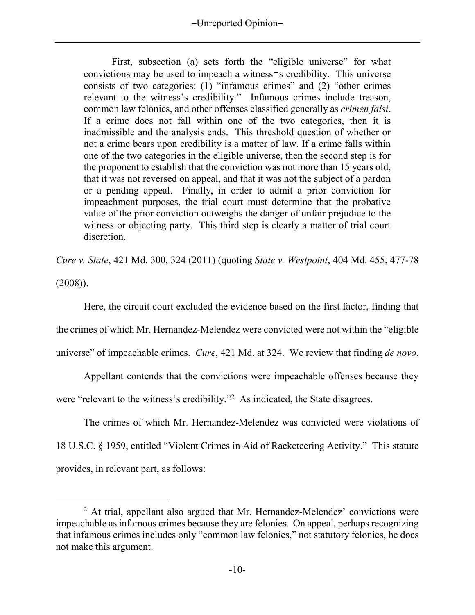First, subsection (a) sets forth the "eligible universe" for what convictions may be used to impeach a witness=s credibility. This universe consists of two categories: (1) "infamous crimes" and (2) "other crimes relevant to the witness's credibility." Infamous crimes include treason, common law felonies, and other offenses classified generally as *crimen falsi*. If a crime does not fall within one of the two categories, then it is inadmissible and the analysis ends. This threshold question of whether or not a crime bears upon credibility is a matter of law. If a crime falls within one of the two categories in the eligible universe, then the second step is for the proponent to establish that the conviction was not more than 15 years old, that it was not reversed on appeal, and that it was not the subject of a pardon or a pending appeal. Finally, in order to admit a prior conviction for impeachment purposes, the trial court must determine that the probative value of the prior conviction outweighs the danger of unfair prejudice to the witness or objecting party. This third step is clearly a matter of trial court discretion.

*Cure v. State*, 421 Md. 300, 324 (2011) (quoting *State v. Westpoint*, 404 Md. 455, 477-78

(2008)).

 $\overline{a}$ 

Here, the circuit court excluded the evidence based on the first factor, finding that the crimes of which Mr. Hernandez-Melendez were convicted were not within the "eligible universe" of impeachable crimes. *Cure*, 421 Md. at 324. We review that finding *de novo*.

Appellant contends that the convictions were impeachable offenses because they were "relevant to the witness's credibility."<sup>2</sup> As indicated, the State disagrees.

The crimes of which Mr. Hernandez-Melendez was convicted were violations of 18 U.S.C. § 1959, entitled "Violent Crimes in Aid of Racketeering Activity." This statute provides, in relevant part, as follows:

 $2$  At trial, appellant also argued that Mr. Hernandez-Melendez' convictions were impeachable as infamous crimes because they are felonies. On appeal, perhaps recognizing that infamous crimes includes only "common law felonies," not statutory felonies, he does not make this argument.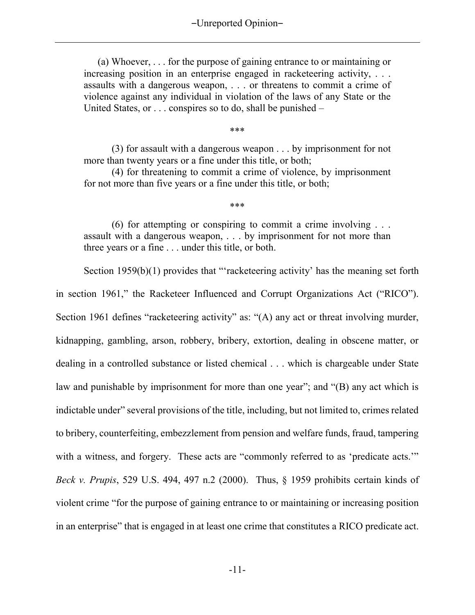(a) Whoever, . . . for the purpose of gaining entrance to or maintaining or increasing position in an enterprise engaged in racketeering activity, . . . assaults with a dangerous weapon, . . . or threatens to commit a crime of violence against any individual in violation of the laws of any State or the United States, or . . . conspires so to do, shall be punished –

\*\*\*

(3) for assault with a dangerous weapon . . . by imprisonment for not more than twenty years or a fine under this title, or both;

(4) for threatening to commit a crime of violence, by imprisonment for not more than five years or a fine under this title, or both;

\*\*\*

(6) for attempting or conspiring to commit a crime involving . . . assault with a dangerous weapon, . . . by imprisonment for not more than three years or a fine . . . under this title, or both.

Section 1959(b)(1) provides that "'racketeering activity' has the meaning set forth in section 1961," the Racketeer Influenced and Corrupt Organizations Act ("RICO"). Section 1961 defines "racketeering activity" as: "(A) any act or threat involving murder, kidnapping, gambling, arson, robbery, bribery, extortion, dealing in obscene matter, or dealing in a controlled substance or listed chemical . . . which is chargeable under State law and punishable by imprisonment for more than one year"; and "(B) any act which is indictable under" several provisions of the title, including, but not limited to, crimes related to bribery, counterfeiting, embezzlement from pension and welfare funds, fraud, tampering with a witness, and forgery. These acts are "commonly referred to as 'predicate acts." *Beck v. Prupis*, 529 U.S. 494, 497 n.2 (2000). Thus, § 1959 prohibits certain kinds of violent crime "for the purpose of gaining entrance to or maintaining or increasing position in an enterprise" that is engaged in at least one crime that constitutes a RICO predicate act.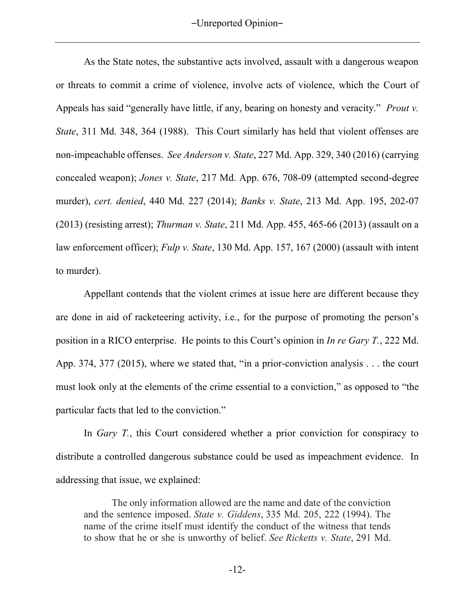-Unreported Opinion-

 As the State notes, the substantive acts involved, assault with a dangerous weapon or threats to commit a crime of violence, involve acts of violence, which the Court of Appeals has said "generally have little, if any, bearing on honesty and veracity." *Prout v. State*, 311 Md. 348, 364 (1988). This Court similarly has held that violent offenses are non-impeachable offenses. *See Anderson v. State*, 227 Md. App. 329, 340 (2016) (carrying concealed weapon); *Jones v. State*, 217 Md. App. 676, 708-09 (attempted second-degree murder), *cert. denied*, 440 Md. 227 (2014); *Banks v. State*, 213 Md. App. 195, 202-07 (2013) (resisting arrest); *Thurman v. State*, 211 Md. App. 455, 465-66 (2013) (assault on a law enforcement officer); *Fulp v. State*, 130 Md. App. 157, 167 (2000) (assault with intent to murder).

Appellant contends that the violent crimes at issue here are different because they are done in aid of racketeering activity, i.e., for the purpose of promoting the person's position in a RICO enterprise. He points to this Court's opinion in *In re Gary T.*, 222 Md. App. 374, 377 (2015), where we stated that, "in a prior-conviction analysis . . . the court must look only at the elements of the crime essential to a conviction," as opposed to "the particular facts that led to the conviction."

In *Gary T.*, this Court considered whether a prior conviction for conspiracy to distribute a controlled dangerous substance could be used as impeachment evidence. In addressing that issue, we explained:

The only information allowed are the name and date of the conviction and the sentence imposed. *State v. Giddens*, 335 Md. 205, 222 (1994). The name of the crime itself must identify the conduct of the witness that tends to show that he or she is unworthy of belief. *See Ricketts v. State*, 291 Md.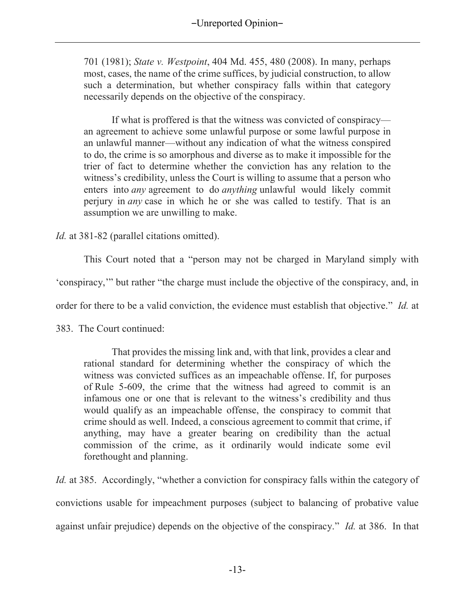701 (1981); *State v. Westpoint*, 404 Md. 455, 480 (2008). In many, perhaps most, cases, the name of the crime suffices, by judicial construction, to allow such a determination, but whether conspiracy falls within that category necessarily depends on the objective of the conspiracy.

If what is proffered is that the witness was convicted of conspiracy an agreement to achieve some unlawful purpose or some lawful purpose in an unlawful manner—without any indication of what the witness conspired to do, the crime is so amorphous and diverse as to make it impossible for the trier of fact to determine whether the conviction has any relation to the witness's credibility, unless the Court is willing to assume that a person who enters into *any* agreement to do *anything* unlawful would likely commit perjury in *any* case in which he or she was called to testify. That is an assumption we are unwilling to make.

*Id.* at 381-82 (parallel citations omitted).

This Court noted that a "person may not be charged in Maryland simply with

'conspiracy,'" but rather "the charge must include the objective of the conspiracy, and, in

order for there to be a valid conviction, the evidence must establish that objective." *Id.* at

383. The Court continued:

That provides the missing link and, with that link, provides a clear and rational standard for determining whether the conspiracy of which the witness was convicted suffices as an impeachable offense. If, for purposes of Rule 5-609, the crime that the witness had agreed to commit is an infamous one or one that is relevant to the witness's credibility and thus would qualify as an impeachable offense, the conspiracy to commit that crime should as well. Indeed, a conscious agreement to commit that crime, if anything, may have a greater bearing on credibility than the actual commission of the crime, as it ordinarily would indicate some evil forethought and planning.

*Id.* at 385. Accordingly, "whether a conviction for conspiracy falls within the category of convictions usable for impeachment purposes (subject to balancing of probative value against unfair prejudice) depends on the objective of the conspiracy." *Id.* at 386. In that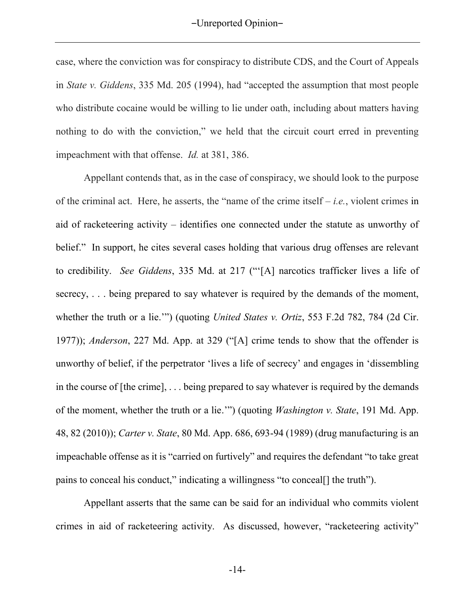case, where the conviction was for conspiracy to distribute CDS, and the Court of Appeals in *State v. Giddens*, 335 Md. 205 (1994), had "accepted the assumption that most people who distribute cocaine would be willing to lie under oath, including about matters having nothing to do with the conviction," we held that the circuit court erred in preventing impeachment with that offense. *Id.* at 381, 386.

Appellant contends that, as in the case of conspiracy, we should look to the purpose of the criminal act. Here, he asserts, the "name of the crime itself – *i.e.*, violent crimes in aid of racketeering activity – identifies one connected under the statute as unworthy of belief." In support, he cites several cases holding that various drug offenses are relevant to credibility. *See Giddens*, 335 Md. at 217 ("'[A] narcotics trafficker lives a life of secrecy, ... being prepared to say whatever is required by the demands of the moment, whether the truth or a lie.'") (quoting *United States v. Ortiz*, 553 F.2d 782, 784 (2d Cir. 1977)); *Anderson*, 227 Md. App. at 329 ("[A] crime tends to show that the offender is unworthy of belief, if the perpetrator 'lives a life of secrecy' and engages in 'dissembling in the course of [the crime], . . . being prepared to say whatever is required by the demands of the moment, whether the truth or a lie.'") (quoting *Washington v. State*, 191 Md. App. 48, 82 (2010)); *Carter v. State*, 80 Md. App. 686, 693-94 (1989) (drug manufacturing is an impeachable offense as it is "carried on furtively" and requires the defendant "to take great pains to conceal his conduct," indicating a willingness "to conceal[] the truth").

Appellant asserts that the same can be said for an individual who commits violent crimes in aid of racketeering activity. As discussed, however, "racketeering activity"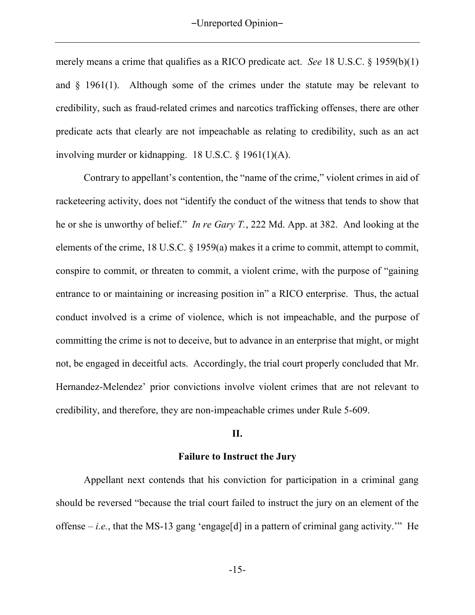merely means a crime that qualifies as a RICO predicate act. *See* 18 U.S.C. § 1959(b)(1) and § 1961(1). Although some of the crimes under the statute may be relevant to credibility, such as fraud-related crimes and narcotics trafficking offenses, there are other predicate acts that clearly are not impeachable as relating to credibility, such as an act involving murder or kidnapping. 18 U.S.C. § 1961(1)(A).

Contrary to appellant's contention, the "name of the crime," violent crimes in aid of racketeering activity, does not "identify the conduct of the witness that tends to show that he or she is unworthy of belief." *In re Gary T.*, 222 Md. App. at 382. And looking at the elements of the crime, 18 U.S.C. § 1959(a) makes it a crime to commit, attempt to commit, conspire to commit, or threaten to commit, a violent crime, with the purpose of "gaining entrance to or maintaining or increasing position in" a RICO enterprise. Thus, the actual conduct involved is a crime of violence, which is not impeachable, and the purpose of committing the crime is not to deceive, but to advance in an enterprise that might, or might not, be engaged in deceitful acts. Accordingly, the trial court properly concluded that Mr. Hernandez-Melendez' prior convictions involve violent crimes that are not relevant to credibility, and therefore, they are non-impeachable crimes under Rule 5-609.

#### **II.**

#### **Failure to Instruct the Jury**

Appellant next contends that his conviction for participation in a criminal gang should be reversed "because the trial court failed to instruct the jury on an element of the offense  $-i.e.,$  that the MS-13 gang 'engage[d] in a pattern of criminal gang activity." He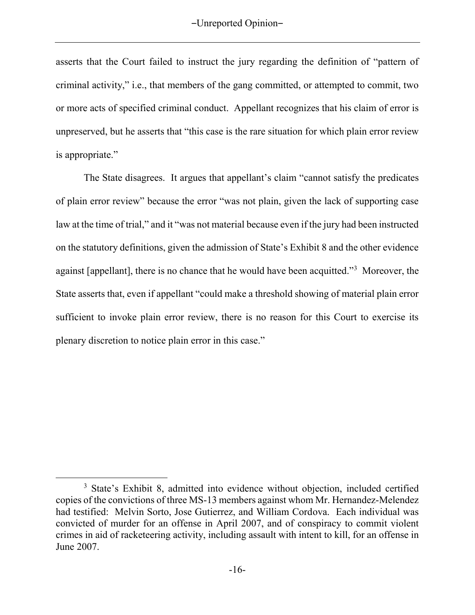asserts that the Court failed to instruct the jury regarding the definition of "pattern of criminal activity," i.e., that members of the gang committed, or attempted to commit, two or more acts of specified criminal conduct. Appellant recognizes that his claim of error is unpreserved, but he asserts that "this case is the rare situation for which plain error review is appropriate."

 The State disagrees. It argues that appellant's claim "cannot satisfy the predicates of plain error review" because the error "was not plain, given the lack of supporting case law at the time of trial," and it "was not material because even if the jury had been instructed on the statutory definitions, given the admission of State's Exhibit 8 and the other evidence against [appellant], there is no chance that he would have been acquitted."<sup>3</sup> Moreover, the State asserts that, even if appellant "could make a threshold showing of material plain error sufficient to invoke plain error review, there is no reason for this Court to exercise its plenary discretion to notice plain error in this case."

 $\overline{a}$ <sup>3</sup> State's Exhibit 8, admitted into evidence without objection, included certified copies of the convictions of three MS-13 members against whom Mr. Hernandez-Melendez had testified: Melvin Sorto, Jose Gutierrez, and William Cordova. Each individual was convicted of murder for an offense in April 2007, and of conspiracy to commit violent crimes in aid of racketeering activity, including assault with intent to kill, for an offense in June 2007.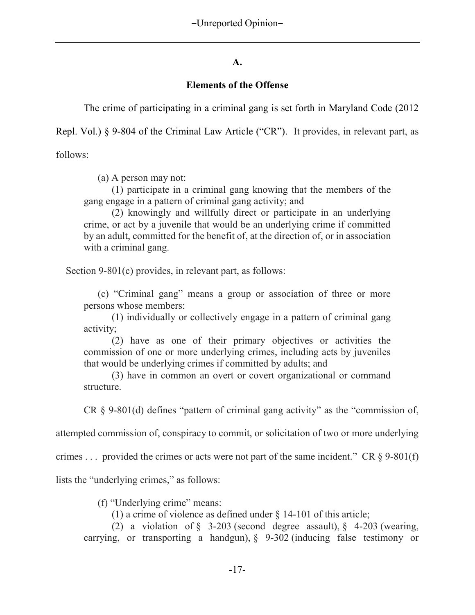### **A.**

### **Elements of the Offense**

The crime of participating in a criminal gang is set forth in Maryland Code (2012

Repl. Vol.) § 9-804 of the Criminal Law Article ("CR"). It provides, in relevant part, as

follows:

(a) A person may not:

(1) participate in a criminal gang knowing that the members of the gang engage in a pattern of criminal gang activity; and

(2) knowingly and willfully direct or participate in an underlying crime, or act by a juvenile that would be an underlying crime if committed by an adult, committed for the benefit of, at the direction of, or in association with a criminal gang.

Section 9-801(c) provides, in relevant part, as follows:

 (c) "Criminal gang" means a group or association of three or more persons whose members:

(1) individually or collectively engage in a pattern of criminal gang activity;

(2) have as one of their primary objectives or activities the commission of one or more underlying crimes, including acts by juveniles that would be underlying crimes if committed by adults; and

(3) have in common an overt or covert organizational or command structure.

CR § 9-801(d) defines "pattern of criminal gang activity" as the "commission of,

attempted commission of, conspiracy to commit, or solicitation of two or more underlying

crimes . . . provided the crimes or acts were not part of the same incident." CR  $\S$  9-801(f)

lists the "underlying crimes," as follows:

(f) "Underlying crime" means:

(1) a crime of violence as defined under § 14-101 of this article;

(2) a violation of  $\S$  3-203 (second degree assault),  $\S$  4-203 (wearing, carrying, or transporting a handgun), § 9-302 (inducing false testimony or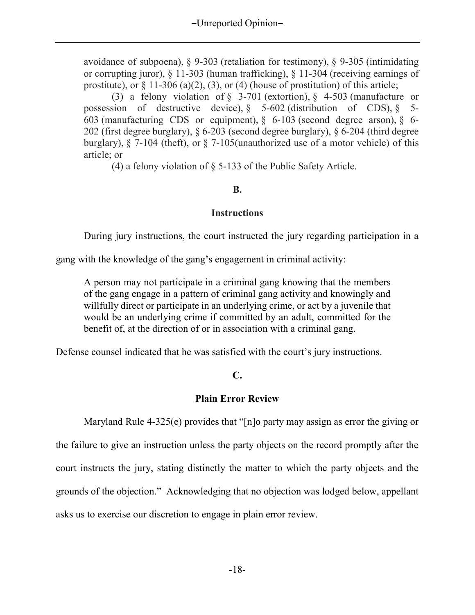avoidance of subpoena), § 9-303 (retaliation for testimony), § 9-305 (intimidating or corrupting juror), § 11-303 (human trafficking), § 11-304 (receiving earnings of prostitute), or  $\S 11-306$  (a)(2), (3), or (4) (house of prostitution) of this article;

(3) a felony violation of § 3-701 (extortion), § 4-503 (manufacture or possession of destructive device),  $\frac{6}{5}$  5-602 (distribution of CDS),  $\frac{6}{5}$  5-603 (manufacturing CDS or equipment),  $\delta$  6-103 (second degree arson),  $\delta$  6-202 (first degree burglary), § 6-203 (second degree burglary), § 6-204 (third degree burglary), § 7-104 (theft), or § 7-105(unauthorized use of a motor vehicle) of this article; or

(4) a felony violation of § 5-133 of the Public Safety Article.

### **B.**

## **Instructions**

During jury instructions, the court instructed the jury regarding participation in a

gang with the knowledge of the gang's engagement in criminal activity:

A person may not participate in a criminal gang knowing that the members of the gang engage in a pattern of criminal gang activity and knowingly and willfully direct or participate in an underlying crime, or act by a juvenile that would be an underlying crime if committed by an adult, committed for the benefit of, at the direction of or in association with a criminal gang.

Defense counsel indicated that he was satisfied with the court's jury instructions.

# **C.**

## **Plain Error Review**

Maryland Rule 4-325(e) provides that "[n]o party may assign as error the giving or the failure to give an instruction unless the party objects on the record promptly after the court instructs the jury, stating distinctly the matter to which the party objects and the grounds of the objection." Acknowledging that no objection was lodged below, appellant asks us to exercise our discretion to engage in plain error review.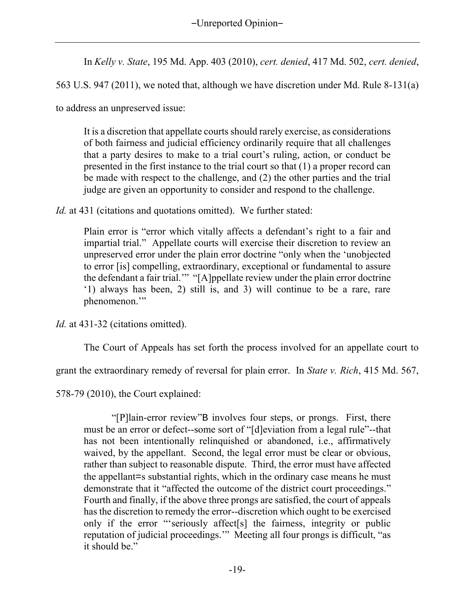-Unreported Opinion-

In *Kelly v. State*, 195 Md. App. 403 (2010), *cert. denied*, 417 Md. 502, *cert. denied*,

563 U.S. 947 (2011), we noted that, although we have discretion under Md. Rule 8-131(a)

to address an unpreserved issue:

It is a discretion that appellate courts should rarely exercise, as considerations of both fairness and judicial efficiency ordinarily require that all challenges that a party desires to make to a trial court's ruling, action, or conduct be presented in the first instance to the trial court so that (1) a proper record can be made with respect to the challenge, and (2) the other parties and the trial judge are given an opportunity to consider and respond to the challenge.

*Id.* at 431 (citations and quotations omitted). We further stated:

Plain error is "error which vitally affects a defendant's right to a fair and impartial trial." Appellate courts will exercise their discretion to review an unpreserved error under the plain error doctrine "only when the 'unobjected to error [is] compelling, extraordinary, exceptional or fundamental to assure the defendant a fair trial.'" "[A]ppellate review under the plain error doctrine '1) always has been, 2) still is, and 3) will continue to be a rare, rare phenomenon.'"

*Id.* at 431-32 (citations omitted).

The Court of Appeals has set forth the process involved for an appellate court to

grant the extraordinary remedy of reversal for plain error. In *State v. Rich*, 415 Md. 567,

578-79 (2010), the Court explained:

"[P]lain-error review"B involves four steps, or prongs. First, there must be an error or defect--some sort of "[d]eviation from a legal rule"--that has not been intentionally relinquished or abandoned, i.e., affirmatively waived, by the appellant. Second, the legal error must be clear or obvious, rather than subject to reasonable dispute. Third, the error must have affected the appellant=s substantial rights, which in the ordinary case means he must demonstrate that it "affected the outcome of the district court proceedings." Fourth and finally, if the above three prongs are satisfied, the court of appeals has the discretion to remedy the error--discretion which ought to be exercised only if the error "'seriously affect[s] the fairness, integrity or public reputation of judicial proceedings.'" Meeting all four prongs is difficult, "as it should be."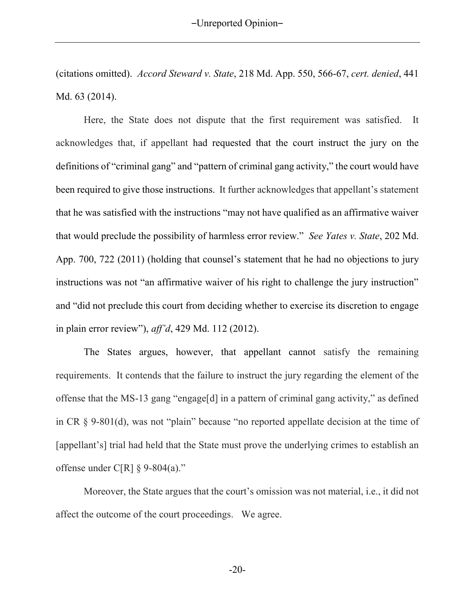(citations omitted). *Accord Steward v. State*, 218 Md. App. 550, 566-67, *cert. denied*, 441 Md. 63 (2014).

Here, the State does not dispute that the first requirement was satisfied. It acknowledges that, if appellant had requested that the court instruct the jury on the definitions of "criminal gang" and "pattern of criminal gang activity," the court would have been required to give those instructions. It further acknowledges that appellant's statement that he was satisfied with the instructions "may not have qualified as an affirmative waiver that would preclude the possibility of harmless error review." *See Yates v. State*, 202 Md. App. 700, 722 (2011) (holding that counsel's statement that he had no objections to jury instructions was not "an affirmative waiver of his right to challenge the jury instruction" and "did not preclude this court from deciding whether to exercise its discretion to engage in plain error review"), *aff'd*, 429 Md. 112 (2012).

The States argues, however, that appellant cannot satisfy the remaining requirements. It contends that the failure to instruct the jury regarding the element of the offense that the MS-13 gang "engage[d] in a pattern of criminal gang activity," as defined in CR § 9-801(d), was not "plain" because "no reported appellate decision at the time of [appellant's] trial had held that the State must prove the underlying crimes to establish an offense under C[R]  $\S$  9-804(a)."

Moreover, the State argues that the court's omission was not material, i.e., it did not affect the outcome of the court proceedings. We agree.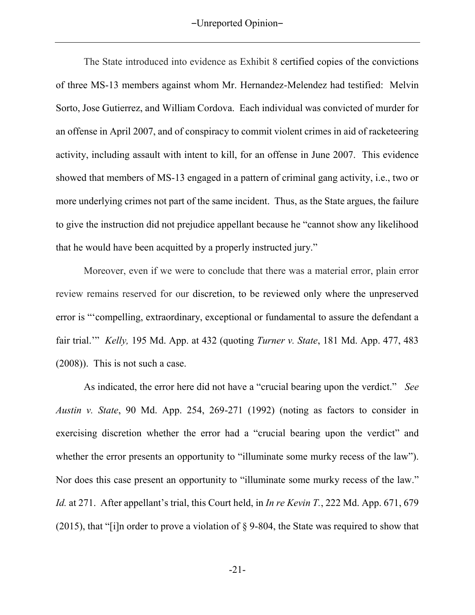The State introduced into evidence as Exhibit 8 certified copies of the convictions of three MS-13 members against whom Mr. Hernandez-Melendez had testified: Melvin Sorto, Jose Gutierrez, and William Cordova. Each individual was convicted of murder for an offense in April 2007, and of conspiracy to commit violent crimes in aid of racketeering activity, including assault with intent to kill, for an offense in June 2007. This evidence showed that members of MS-13 engaged in a pattern of criminal gang activity, i.e., two or more underlying crimes not part of the same incident. Thus, as the State argues, the failure to give the instruction did not prejudice appellant because he "cannot show any likelihood that he would have been acquitted by a properly instructed jury."

Moreover, even if we were to conclude that there was a material error, plain error review remains reserved for our discretion, to be reviewed only where the unpreserved error is "'compelling, extraordinary, exceptional or fundamental to assure the defendant a fair trial.'" *Kelly,* 195 Md. App. at 432 (quoting *Turner v. State*, 181 Md. App. 477, 483 (2008)). This is not such a case.

 As indicated, the error here did not have a "crucial bearing upon the verdict." *See Austin v. State*, 90 Md. App. 254, 269-271 (1992) (noting as factors to consider in exercising discretion whether the error had a "crucial bearing upon the verdict" and whether the error presents an opportunity to "illuminate some murky recess of the law"). Nor does this case present an opportunity to "illuminate some murky recess of the law." *Id.* at 271. After appellant's trial, this Court held, in *In re Kevin T.*, 222 Md. App. 671, 679 (2015), that "[i]n order to prove a violation of § 9-804, the State was required to show that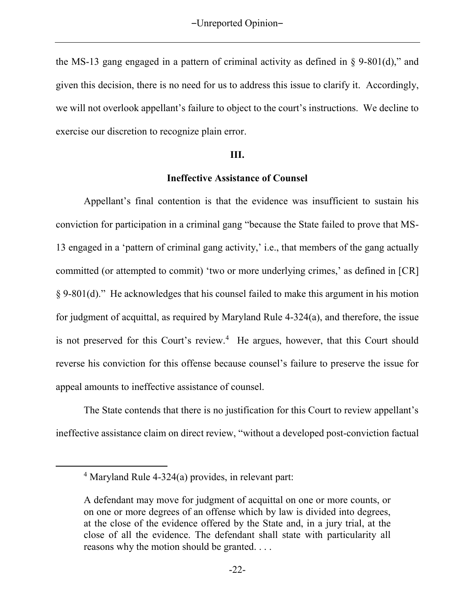the MS-13 gang engaged in a pattern of criminal activity as defined in § 9-801(d)," and given this decision, there is no need for us to address this issue to clarify it. Accordingly, we will not overlook appellant's failure to object to the court's instructions. We decline to exercise our discretion to recognize plain error.

#### **III.**

### **Ineffective Assistance of Counsel**

Appellant's final contention is that the evidence was insufficient to sustain his conviction for participation in a criminal gang "because the State failed to prove that MS-13 engaged in a 'pattern of criminal gang activity,' i.e., that members of the gang actually committed (or attempted to commit) 'two or more underlying crimes,' as defined in [CR] § 9-801(d)." He acknowledges that his counsel failed to make this argument in his motion for judgment of acquittal, as required by Maryland Rule 4-324(a), and therefore, the issue is not preserved for this Court's review.<sup>4</sup> He argues, however, that this Court should reverse his conviction for this offense because counsel's failure to preserve the issue for appeal amounts to ineffective assistance of counsel.

 The State contends that there is no justification for this Court to review appellant's ineffective assistance claim on direct review, "without a developed post-conviction factual

 $\overline{a}$ 

<sup>4</sup> Maryland Rule 4-324(a) provides, in relevant part:

A defendant may move for judgment of acquittal on one or more counts, or on one or more degrees of an offense which by law is divided into degrees, at the close of the evidence offered by the State and, in a jury trial, at the close of all the evidence. The defendant shall state with particularity all reasons why the motion should be granted. . . .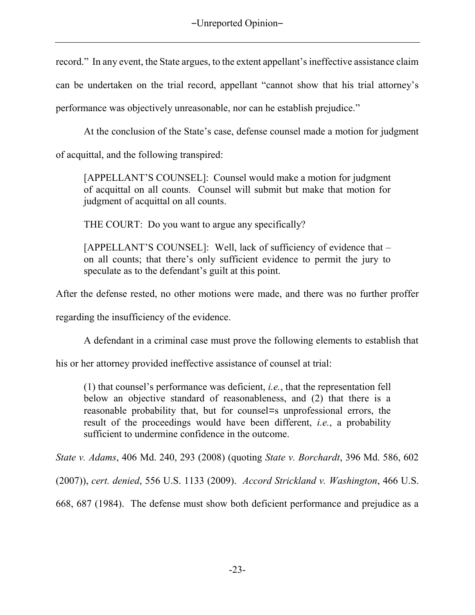record." In any event, the State argues, to the extent appellant's ineffective assistance claim can be undertaken on the trial record, appellant "cannot show that his trial attorney's performance was objectively unreasonable, nor can he establish prejudice."

At the conclusion of the State's case, defense counsel made a motion for judgment

of acquittal, and the following transpired:

[APPELLANT'S COUNSEL]: Counsel would make a motion for judgment of acquittal on all counts. Counsel will submit but make that motion for judgment of acquittal on all counts.

THE COURT: Do you want to argue any specifically?

[APPELLANT'S COUNSEL]: Well, lack of sufficiency of evidence that – on all counts; that there's only sufficient evidence to permit the jury to speculate as to the defendant's guilt at this point.

After the defense rested, no other motions were made, and there was no further proffer

regarding the insufficiency of the evidence.

A defendant in a criminal case must prove the following elements to establish that

his or her attorney provided ineffective assistance of counsel at trial:

(1) that counsel's performance was deficient, *i.e.*, that the representation fell below an objective standard of reasonableness, and (2) that there is a reasonable probability that, but for counsel=s unprofessional errors, the result of the proceedings would have been different, *i.e.*, a probability sufficient to undermine confidence in the outcome.

*State v. Adams*, 406 Md. 240, 293 (2008) (quoting *State v. Borchardt*, 396 Md. 586, 602

(2007)), *cert. denied*, 556 U.S. 1133 (2009). *Accord Strickland v. Washington*, 466 U.S.

668, 687 (1984). The defense must show both deficient performance and prejudice as a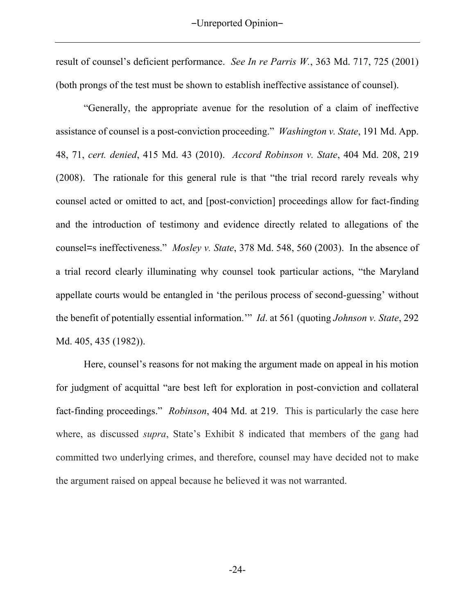result of counsel's deficient performance. *See In re Parris W.*, 363 Md. 717, 725 (2001) (both prongs of the test must be shown to establish ineffective assistance of counsel).

"Generally, the appropriate avenue for the resolution of a claim of ineffective assistance of counsel is a post-conviction proceeding." *Washington v. State*, 191 Md. App. 48, 71, *cert. denied*, 415 Md. 43 (2010). *Accord Robinson v. State*, 404 Md. 208, 219 (2008). The rationale for this general rule is that "the trial record rarely reveals why counsel acted or omitted to act, and [post-conviction] proceedings allow for fact-finding and the introduction of testimony and evidence directly related to allegations of the counsel=s ineffectiveness." *Mosley v. State*, 378 Md. 548, 560 (2003). In the absence of a trial record clearly illuminating why counsel took particular actions, "the Maryland appellate courts would be entangled in 'the perilous process of second-guessing' without the benefit of potentially essential information.'" *Id*. at 561 (quoting *Johnson v. State*, 292 Md. 405, 435 (1982)).

Here, counsel's reasons for not making the argument made on appeal in his motion for judgment of acquittal "are best left for exploration in post-conviction and collateral fact-finding proceedings." *Robinson*, 404 Md. at 219. This is particularly the case here where, as discussed *supra*, State's Exhibit 8 indicated that members of the gang had committed two underlying crimes, and therefore, counsel may have decided not to make the argument raised on appeal because he believed it was not warranted.